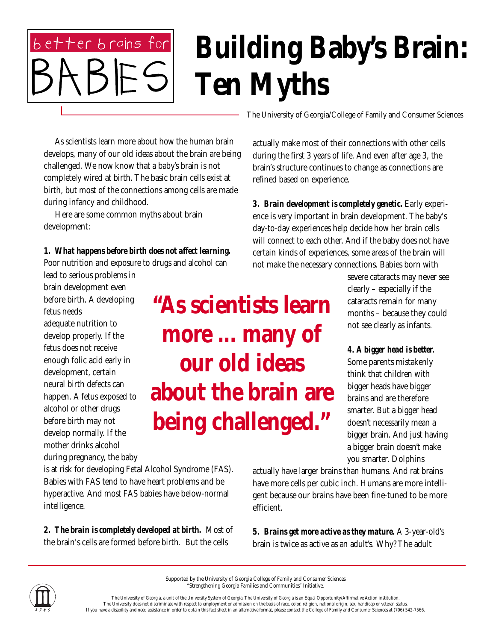## **Building Baby's Brain: Ten Myths**

 As scientists learn more about how the human brain develops, many of our old ideas about the brain are being challenged. We now know that a baby's brain is not completely wired at birth. The basic brain cells exist at birth, but most of the connections among cells are made during infancy and childhood.

 Here are some common myths about brain development:

better brains for

*1. What happens before birth does not affect learning.* Poor nutrition and exposure to drugs and alcohol can

lead to serious problems in brain development even before birth. A developing fetus needs adequate nutrition to develop properly. If the fetus does not receive enough folic acid early in development, certain neural birth defects can happen. A fetus exposed to alcohol or other drugs before birth may not develop normally. If the mother drinks alcohol during pregnancy, the baby

**"As scientists learn more ... many of our old ideas about the brain are being challenged."**

is at risk for developing Fetal Alcohol Syndrome (FAS). Babies with FAS tend to have heart problems and be hyperactive. And most FAS babies have below-normal intelligence.

*2. The brain is completely developed at birth.* Most of the brain's cells are formed before birth. But the cells

The University of Georgia/College of Family and Consumer Sciences

actually make most of their connections with other cells during the first 3 years of life. And even after age 3, the brain's structure continues to change as connections are refined based on experience.

*3. Brain development is completely genetic.* Early experience is very important in brain development. The baby's day-to-day experiences help decide how her brain cells will connect to each other. And if the baby does not have certain kinds of experiences, some areas of the brain will not make the necessary connections. Babies born with

> severe cataracts may never see clearly – especially if the cataracts remain for many months – because they could not see clearly as infants.

> *4. A bigger head is better.* Some parents mistakenly think that children with bigger heads have bigger brains and are therefore smarter. But a bigger head doesn't necessarily mean a bigger brain. And just having a bigger brain doesn't make you smarter. Dolphins

actually have larger brains than humans. And rat brains have more cells per cubic inch. Humans are more intelligent because our brains have been fine-tuned to be more efficient.

*5. Brains get more active as they mature.* A 3-year-old's brain is twice as active as an adult's. Why? The adult



Supported by the University of Georgia College of Family and Consumer Sciences "Strengthening Georgia Families and Communities" Initiative.